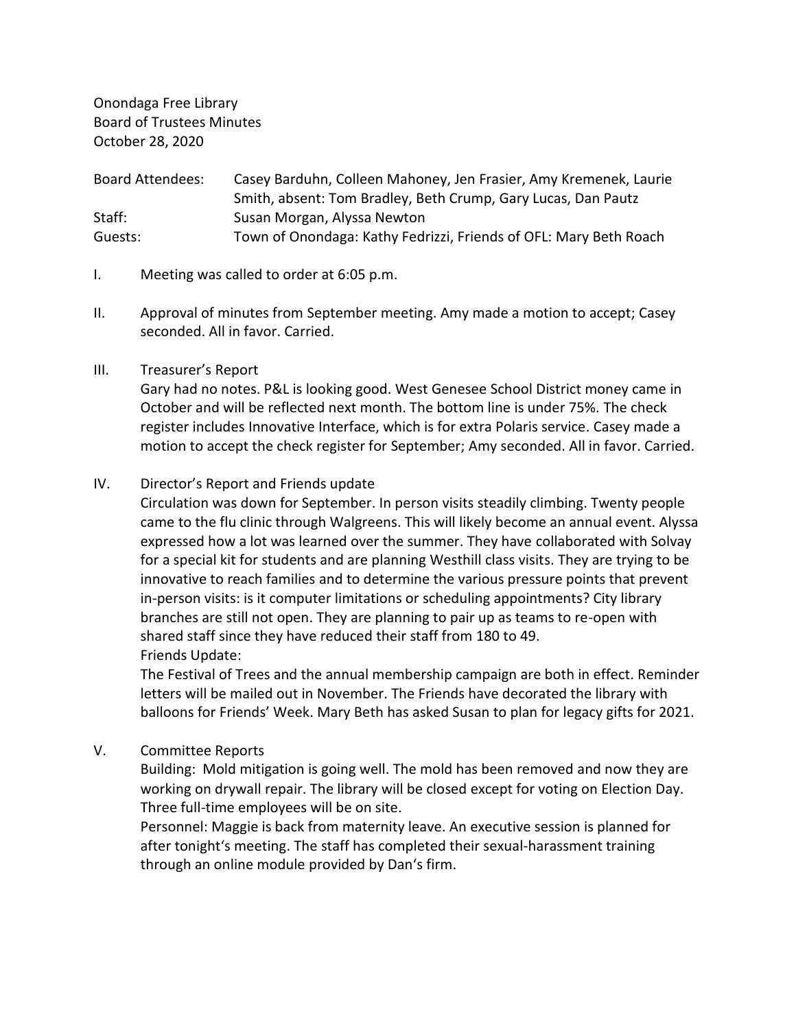Onondaga Free Library Board of Trustees Minutes October 28, 2020

Board Attendees: Casey Barduhn, Colleen Mahoney, Jen Frasier, Amy Kremenek, Laurie Smith, absent: Tom Bradley, Beth Crump, Gary Lucas, Dan Pautz Staff: Susan Morgan, Alyssa Newton Guests: Town of Onondaga: Kathy Fedrizzi, Friends of OFL: Mary Beth Roach

- I. Meeting was called to order at 6:05 p.m.
- II. Approval of minutes from September meeting. Amy made a motion to accept; Casey seconded. All in favor. Carried.

# III. Treasurer's Report

Gary had no notes. P&L is looking good. West Genesee School District money came in October and will be reflected next month. The bottom line is under 75%. The check register includes Innovative Interface, which is for extra Polaris service. Casey made a motion to accept the check register for September; Amy seconded. All in favor. Carried.

# IV. Director's Report and Friends update

Circulation was down for September. In person visits steadily climbing. Twenty people came to the flu clinic through Walgreens. This will likely become an annual event. Alyssa expressed how a lot was learned over the summer. They have collaborated with Solvay for a special kit for students and are planning Westhill class visits. They are trying to be innovative to reach families and to determine the various pressure points that prevent in-person visits: is it computer limitations or scheduling appointments? City library branches are still not open. They are planning to pair up as teams to re-open with shared staff since they have reduced their staff from 180 to 49. Friends Update:

The Festival of Trees and the annual membership campaign are both in effect. Reminder letters will be mailed out in November. The Friends have decorated the library with balloons for Friends' Week. Mary Beth has asked Susan to plan for legacy gifts for 2021.

V. Committee Reports

Building: Mold mitigation is going well. The mold has been removed and now they are working on drywall repair. The library will be closed except for voting on Election Day. Three full-time employees will be on site.

Personnel: Maggie is back from maternity leave. An executive session is planned for after tonight's meeting. The staff has completed their sexual-harassment training through an online module provided by Dan's firm.